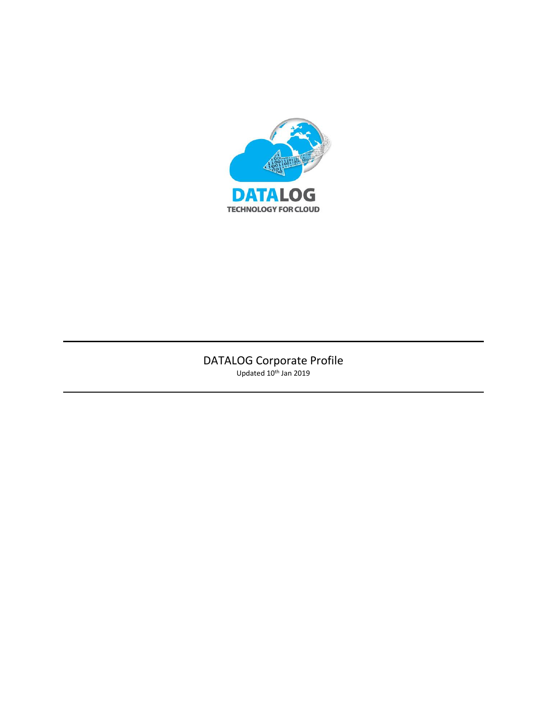

DATALOG Corporate Profile Updated 10<sup>th</sup> Jan 2019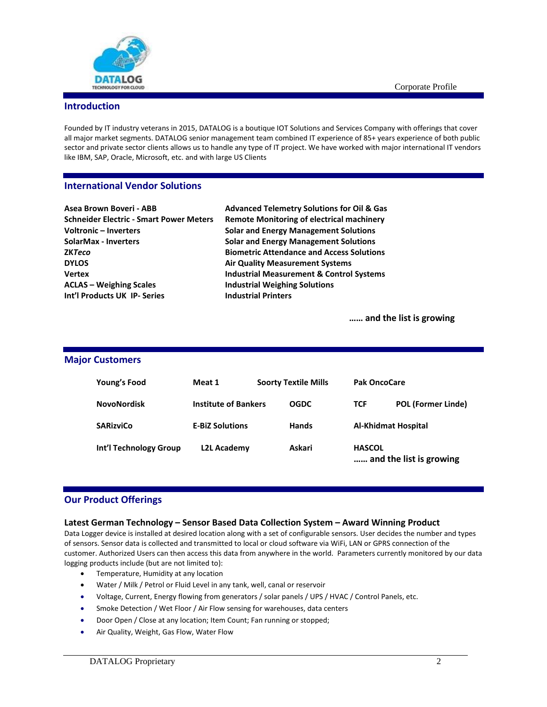

## **Introduction**

Founded by IT industry veterans in 2015, DATALOG is a boutique IOT Solutions and Services Company with offerings that cover all major market segments. DATALOG senior management team combined IT experience of 85+ years experience of both public sector and private sector clients allows us to handle any type of IT project. We have worked with major international IT vendors like IBM, SAP, Oracle, Microsoft, etc. and with large US Clients

## **International Vendor Solutions**

| Asea Brown Boveri - ABB                        | <b>Advanced Telemetry Solutions for Oil &amp; Gas</b> |
|------------------------------------------------|-------------------------------------------------------|
| <b>Schneider Electric - Smart Power Meters</b> | <b>Remote Monitoring of electrical machinery</b>      |
| Voltronic – Inverters                          | <b>Solar and Energy Management Solutions</b>          |
| <b>SolarMax - Inverters</b>                    | <b>Solar and Energy Management Solutions</b>          |
| <b>ZKTeco</b>                                  | <b>Biometric Attendance and Access Solutions</b>      |
| <b>DYLOS</b>                                   | <b>Air Quality Measurement Systems</b>                |
| <b>Vertex</b>                                  | <b>Industrial Measurement &amp; Control Systems</b>   |
| <b>ACLAS - Weighing Scales</b>                 | <b>Industrial Weighing Solutions</b>                  |
| Int'l Products UK IP- Series                   | <b>Industrial Printers</b>                            |

**…… and the list is growing**

### **Major Customers**

| Young's Food           | Meat 1                                 | <b>Soorty Textile Mills</b> |             | <b>Pak OncoCare</b>        |                           |
|------------------------|----------------------------------------|-----------------------------|-------------|----------------------------|---------------------------|
| <b>NovoNordisk</b>     | <b>Institute of Bankers</b>            |                             | <b>OGDC</b> | <b>TCF</b>                 | <b>POL (Former Linde)</b> |
| <b>SARizviCo</b>       | <b>E-BiZ Solutions</b><br><b>Hands</b> |                             |             | <b>Al-Khidmat Hospital</b> |                           |
| Int'l Technology Group | <b>L2L Academy</b>                     |                             | Askari      | <b>HASCOL</b>              | and the list is growing   |

## **Our Product Offerings**

### **Latest German Technology – Sensor Based Data Collection System – Award Winning Product**

Data Logger device is installed at desired location along with a set of configurable sensors. User decides the number and types of sensors. Sensor data is collected and transmitted to local or cloud software via WiFi, LAN or GPRS connection of the customer. Authorized Users can then access this data from anywhere in the world. Parameters currently monitored by our data logging products include (but are not limited to):

- Temperature, Humidity at any location
- Water / Milk / Petrol or Fluid Level in any tank, well, canal or reservoir
- Voltage, Current, Energy flowing from generators / solar panels / UPS / HVAC / Control Panels, etc.
- Smoke Detection / Wet Floor / Air Flow sensing for warehouses, data centers
- Door Open / Close at any location; Item Count; Fan running or stopped;
- Air Quality, Weight, Gas Flow, Water Flow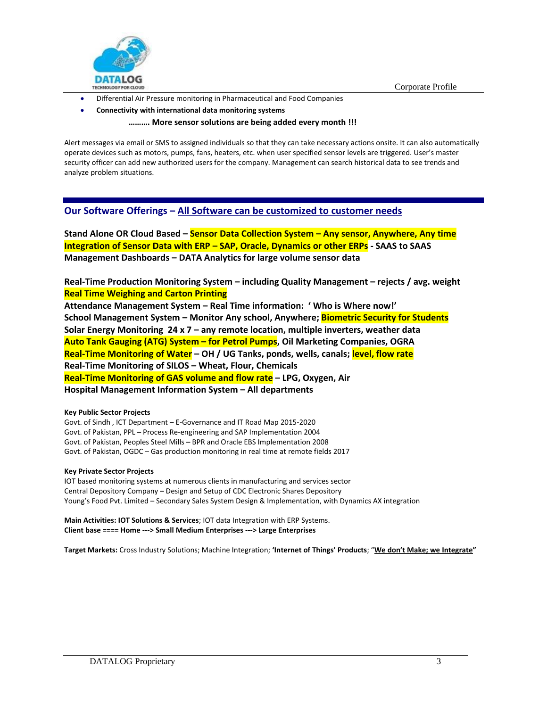

Corporate Profile

- Differential Air Pressure monitoring in Pharmaceutical and Food Companies
- **Connectivity with international data monitoring systems**

### **………. More sensor solutions are being added every month !!!**

Alert messages via email or SMS to assigned individuals so that they can take necessary actions onsite. It can also automatically operate devices such as motors, pumps, fans, heaters, etc. when user specified sensor levels are triggered. User's master security officer can add new authorized users for the company. Management can search historical data to see trends and analyze problem situations.

## **Our Software Offerings – All Software can be customized to customer needs**

**Stand Alone OR Cloud Based – Sensor Data Collection System – Any sensor, Anywhere, Any time Integration of Sensor Data with ERP – SAP, Oracle, Dynamics or other ERPs - SAAS to SAAS Management Dashboards – DATA Analytics for large volume sensor data**

**Real-Time Production Monitoring System – including Quality Management – rejects / avg. weight Real Time Weighing and Carton Printing**

**Attendance Management System – Real Time information: ' Who is Where now!' School Management System – Monitor Any school, Anywhere; Biometric Security for Students Solar Energy Monitoring 24 x 7 – any remote location, multiple inverters, weather data Auto Tank Gauging (ATG) System – for Petrol Pumps, Oil Marketing Companies, OGRA Real-Time Monitoring of Water – OH / UG Tanks, ponds, wells, canals; level, flow rate Real-Time Monitoring of SILOS – Wheat, Flour, Chemicals Real-Time Monitoring of GAS volume and flow rate – LPG, Oxygen, Air Hospital Management Information System – All departments** 

### **Key Public Sector Projects**

Govt. of Sindh , ICT Department – E-Governance and IT Road Map 2015-2020 Govt. of Pakistan, PPL – Process Re-engineering and SAP Implementation 2004 Govt. of Pakistan, Peoples Steel Mills – BPR and Oracle EBS Implementation 2008 Govt. of Pakistan, OGDC – Gas production monitoring in real time at remote fields 2017

### **Key Private Sector Projects**

IOT based monitoring systems at numerous clients in manufacturing and services sector Central Depository Company – Design and Setup of CDC Electronic Shares Depository Young's Food Pvt. Limited – Secondary Sales System Design & Implementation, with Dynamics AX integration

**Main Activities: IOT Solutions & Services**; IOT data Integration with ERP Systems. **Client base ==== Home ---> Small Medium Enterprises ---> Large Enterprises**

**Target Markets:** Cross Industry Solutions; Machine Integration; **'Internet of Things' Products**; "**We don't Make; we Integrate"**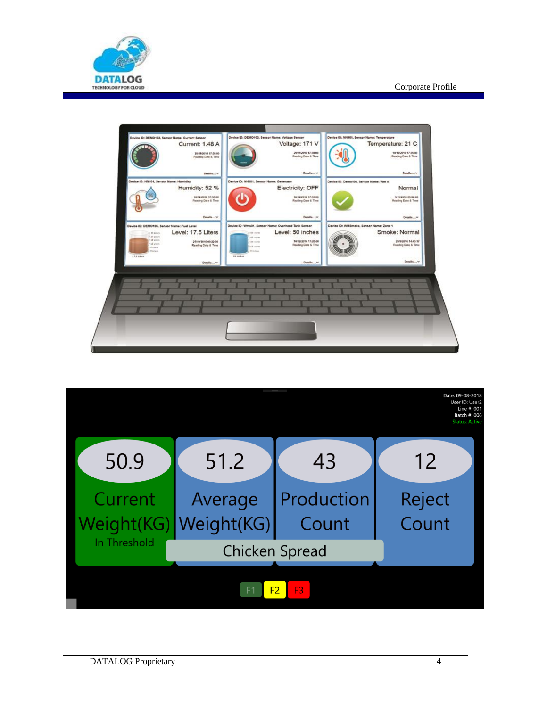



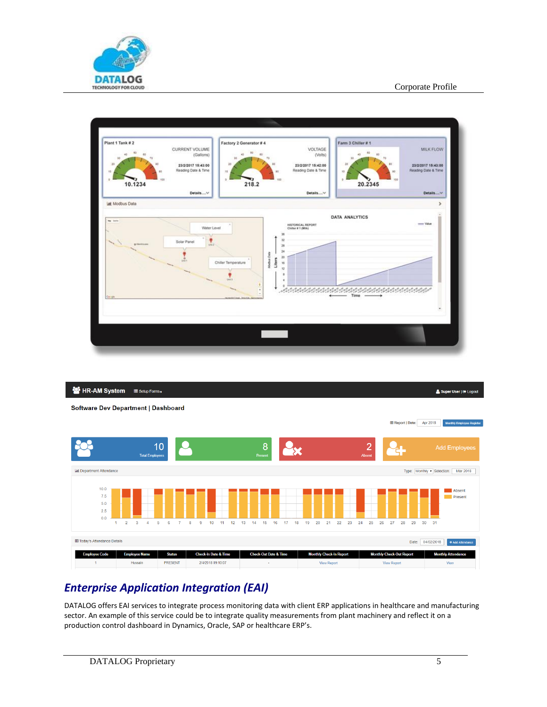

### Corporate Profile





# *Enterprise Application Integration (EAI)*

DATALOG offers EAI services to integrate process monitoring data with client ERP applications in healthcare and manufacturing sector. An example of this service could be to integrate quality measurements from plant machinery and reflect it on a production control dashboard in Dynamics, Oracle, SAP or healthcare ERP's.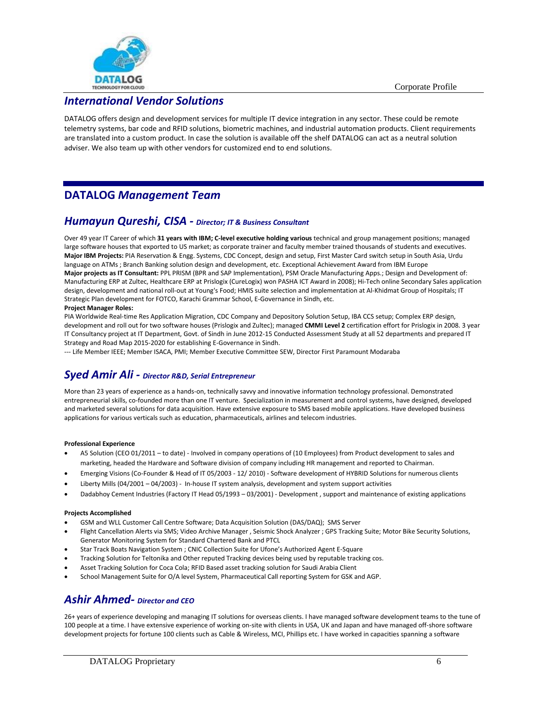

## *International Vendor Solutions*

DATALOG offers design and development services for multiple IT device integration in any sector. These could be remote telemetry systems, bar code and RFID solutions, biometric machines, and industrial automation products. Client requirements are translated into a custom product. In case the solution is available off the shelf DATALOG can act as a neutral solution adviser. We also team up with other vendors for customized end to end solutions.

## **DATALOG** *Management Team*

## *Humayun Qureshi, CISA - Director; IT & Business Consultant*

Over 49 year IT Career of which **31 years with IBM; C-level executive holding various** technical and group management positions; managed large software houses that exported to US market; as corporate trainer and faculty member trained thousands of students and executives. **Major IBM Projects:** PIA Reservation & Engg. Systems, CDC Concept, design and setup, First Master Card switch setup in South Asia, Urdu language on ATMs ; Branch Banking solution design and development, etc. Exceptional Achievement Award from IBM Europe **Major projects as IT Consultant:** PPL PRISM (BPR and SAP Implementation), PSM Oracle Manufacturing Apps.; Design and Development of: Manufacturing ERP at Zultec, Healthcare ERP at Prislogix (CureLogix) won PASHA ICT Award in 2008); Hi-Tech online Secondary Sales application design, development and national roll-out at Young's Food; HMIS suite selection and implementation at Al-Khidmat Group of Hospitals; IT Strategic Plan development for FOTCO, Karachi Grammar School, E-Governance in Sindh, etc.

### **Project Manager Roles:**

PIA Worldwide Real-time Res Application Migration, CDC Company and Depository Solution Setup, IBA CCS setup; Complex ERP design, development and roll out for two software houses (Prislogix and Zultec); managed **CMMI Level 2** certification effort for Prislogix in 2008. 3 year IT Consultancy project at IT Department, Govt. of Sindh in June 2012-15 Conducted Assessment Study at all 52 departments and prepared IT Strategy and Road Map 2015-2020 for establishing E-Governance in Sindh.

--- Life Member IEEE; Member ISACA, PMI; Member Executive Committee SEW, Director First Paramount Modaraba

## *Syed Amir Ali - Director R&D, Serial Entrepreneur*

More than 23 years of experience as a hands-on, technically savvy and innovative information technology professional. Demonstrated entrepreneurial skills, co-founded more than one IT venture. Specialization in measurement and control systems, have designed, developed and marketed several solutions for data acquisition. Have extensive exposure to SMS based mobile applications. Have developed business applications for various verticals such as education, pharmaceuticals, airlines and telecom industries.

### **Professional Experience**

- A5 Solution (CEO 01/2011 to date) Involved in company operations of (10 Employees) from Product development to sales and marketing, headed the Hardware and Software division of company including HR management and reported to Chairman.
- Emerging Visions (Co-Founder & Head of IT 05/2003 12/ 2010) Software development of HYBRID Solutions for numerous clients
- Liberty Mills (04/2001 04/2003) In-house IT system analysis, development and system support activities
- Dadabhoy Cement Industries (Factory IT Head 05/1993 03/2001) Development , support and maintenance of existing applications

### **Projects Accomplished**

- GSM and WLL Customer Call Centre Software; Data Acquisition Solution (DAS/DAQ); SMS Server
- Flight Cancellation Alerts via SMS; Video Archive Manager , Seismic Shock Analyzer ; GPS Tracking Suite; Motor Bike Security Solutions, Generator Monitoring System for Standard Chartered Bank and PTCL
- Star Track Boats Navigation System ; CNIC Collection Suite for Ufone's Authorized Agent E-Square
- Tracking Solution for Teltonika and Other reputed Tracking devices being used by reputable tracking cos.
- Asset Tracking Solution for Coca Cola; RFID Based asset tracking solution for Saudi Arabia Client
- School Management Suite for O/A level System, Pharmaceutical Call reporting System for GSK and AGP.

## *Ashir Ahmed- Director and CEO*

26+ years of experience developing and managing IT solutions for overseas clients. I have managed software development teams to the tune of 100 people at a time. I have extensive experience of working on-site with clients in USA, UK and Japan and have managed off-shore software development projects for fortune 100 clients such as Cable & Wireless, MCI, Phillips etc. I have worked in capacities spanning a software